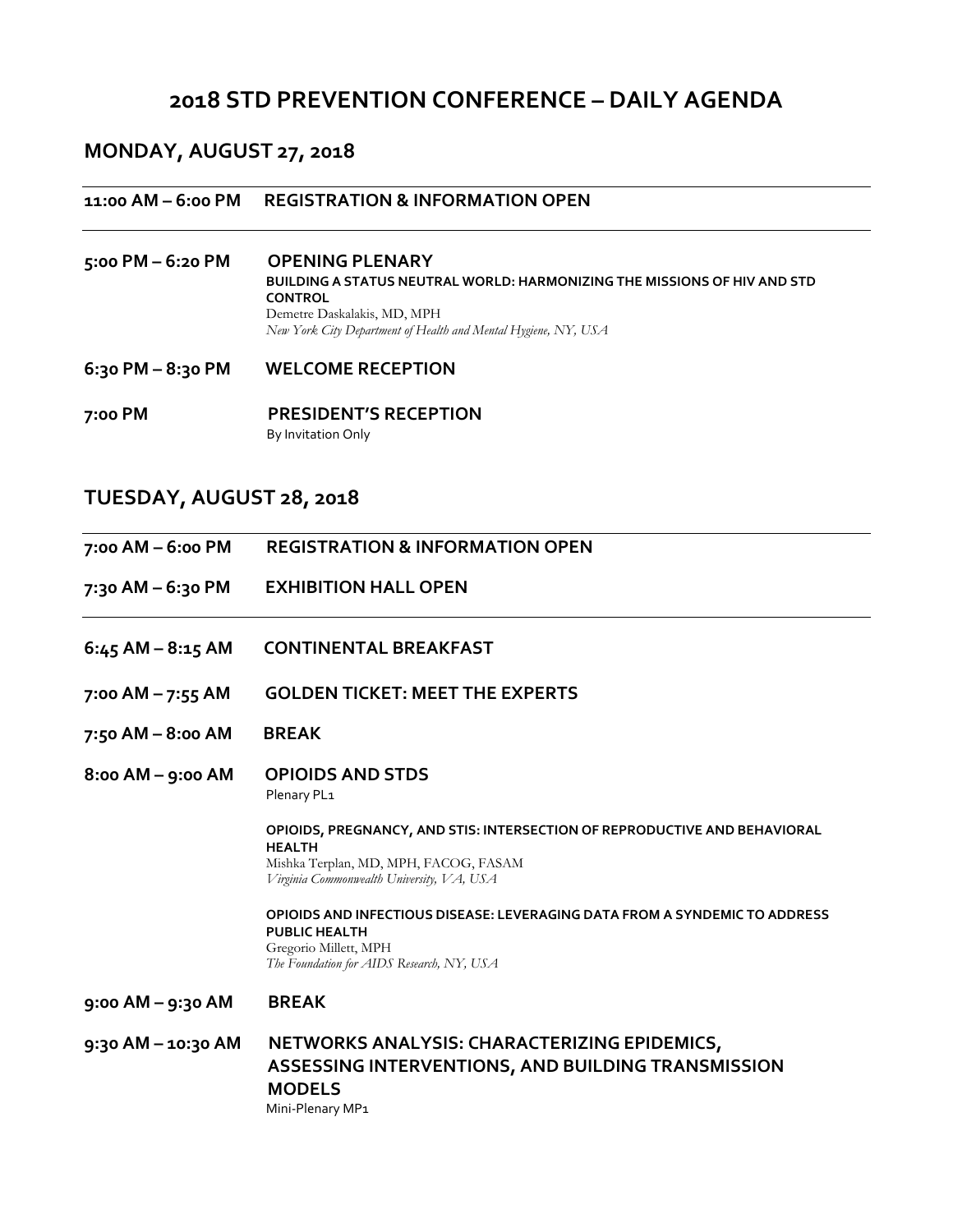# **2018 STD PREVENTION CONFERENCE – DAILY AGENDA**

# **MONDAY, AUGUST 27, 2018**

#### **11:00 AM – 6:00 PM REGISTRATION & INFORMATION OPEN**

- **5:00 PM – 6:20 PM OPENING PLENARY BUILDING A STATUS NEUTRAL WORLD: HARMONIZING THE MISSIONS OF HIV AND STD CONTROL** Demetre Daskalakis, MD, MPH *New York City Department of Health and Mental Hygiene, NY, USA*
- **6:30 PM – 8:30 PM WELCOME RECEPTION**
- **7:00 PM PRESIDENT'S RECEPTION**By Invitation Only

# **TUESDAY, AUGUST 28, 2018**

- **7:00 AM – 6:00 PM REGISTRATION & INFORMATION OPEN**
- **7:30 AM – 6:30 PM EXHIBITION HALL OPEN**
- **6:45 AM – 8:15 AM CONTINENTAL BREAKFAST**
- **7:00 AM – 7:55 AM GOLDEN TICKET: MEET THE EXPERTS**
- **7:50 AM – 8:00 AM BREAK**
- **8:00 AM – 9:00 AM OPIOIDS AND STDS** Plenary PL1

**OPIOIDS, PREGNANCY, AND STIS: INTERSECTION OF REPRODUCTIVE AND BEHAVIORAL HEALTH** Mishka Terplan, MD, MPH, FACOG, FASAM *Virginia Commonwealth University, VA, USA*

**OPIOIDS AND INFECTIOUS DISEASE: LEVERAGING DATA FROM A SYNDEMIC TO ADDRESS PUBLIC HEALTH** Gregorio Millett, MPH *The Foundation for AIDS Research, NY, USA*

**9:00 AM – 9:30 AM BREAK**

**9:30 AM – 10:30 AM NETWORKS ANALYSIS: CHARACTERIZING EPIDEMICS, ASSESSING INTERVENTIONS, AND BUILDING TRANSMISSION MODELS** Mini-Plenary MP1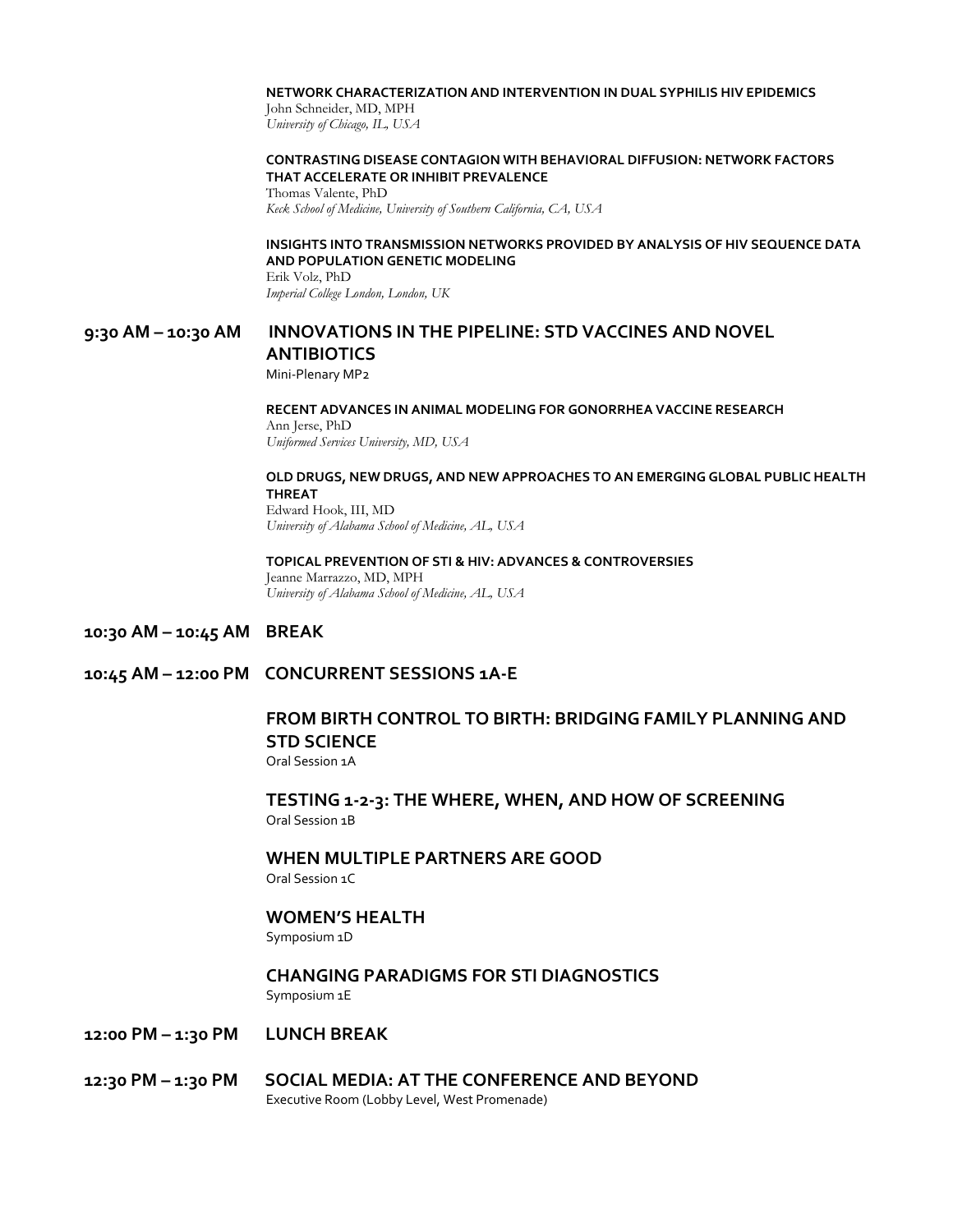#### **NETWORK CHARACTERIZATION AND INTERVENTION IN DUAL SYPHILIS HIV EPIDEMICS**

John Schneider, MD, MPH *University of Chicago, IL, USA*

#### **CONTRASTING DISEASE CONTAGION WITH BEHAVIORAL DIFFUSION: NETWORK FACTORS THAT ACCELERATE OR INHIBIT PREVALENCE**

Thomas Valente, PhD *Keck School of Medicine, University of Southern California, CA, USA*

#### **INSIGHTS INTO TRANSMISSION NETWORKS PROVIDED BY ANALYSIS OF HIV SEQUENCE DATA AND POPULATION GENETIC MODELING**

Erik Volz, PhD *Imperial College London, London, UK*

## **9:30 AM – 10:30 AM INNOVATIONS IN THE PIPELINE: STD VACCINES AND NOVEL ANTIBIOTICS**

Mini-Plenary MP2

#### **RECENT ADVANCES IN ANIMAL MODELING FOR GONORRHEA VACCINE RESEARCH**  Ann Jerse, PhD *Uniformed Services University, MD, USA*

#### **OLD DRUGS, NEW DRUGS, AND NEW APPROACHES TO AN EMERGING GLOBAL PUBLIC HEALTH THREAT** Edward Hook, III, MD

*University of Alabama School of Medicine, AL, USA* 

**TOPICAL PREVENTION OF STI & HIV: ADVANCES & CONTROVERSIES** Jeanne Marrazzo, MD, MPH *University of Alabama School of Medicine, AL, USA* 

- **10:30 AM – 10:45 AM BREAK**
- **10:45 AM – 12:00 PM CONCURRENT SESSIONS 1A-E**

## **FROM BIRTH CONTROL TO BIRTH: BRIDGING FAMILY PLANNING AND STD SCIENCE** Oral Session 1A

**TESTING 1-2-3: THE WHERE, WHEN, AND HOW OF SCREENING** Oral Session 1B

#### **WHEN MULTIPLE PARTNERS ARE GOOD** Oral Session 1C

**WOMEN'S HEALTH**

Symposium 1D

#### **CHANGING PARADIGMS FOR STI DIAGNOSTICS** Symposium 1E

- **12:00 PM – 1:30 PM LUNCH BREAK**
- **12:30 PM – 1:30 PM SOCIAL MEDIA: AT THE CONFERENCE AND BEYOND** Executive Room (Lobby Level, West Promenade)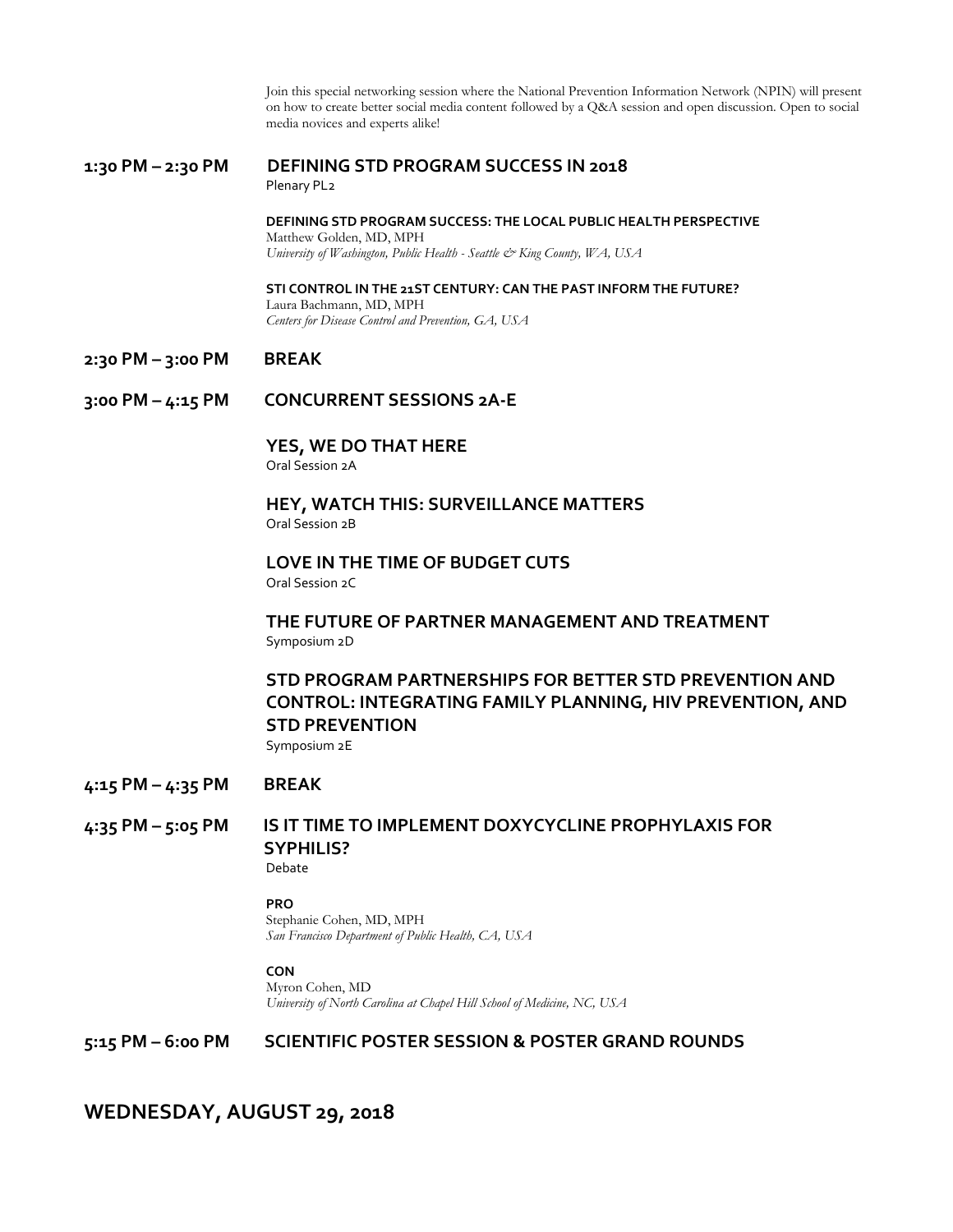Join this special networking session where the National Prevention Information Network (NPIN) will present on how to create better social media content followed by a Q&A session and open discussion. Open to social media novices and experts alike!

# **1:30 PM – 2:30 PM DEFINING STD PROGRAM SUCCESS IN 2018**

Plenary PL2

**DEFINING STD PROGRAM SUCCESS: THE LOCAL PUBLIC HEALTH PERSPECTIVE**  Matthew Golden, MD, MPH *University of Washington, Public Health - Seattle & King County, WA, USA*

**STI CONTROL IN THE 21ST CENTURY: CAN THE PAST INFORM THE FUTURE?** Laura Bachmann, MD, MPH *Centers for Disease Control and Prevention, GA, USA*

#### **2:30 PM – 3:00 PM BREAK**

**3:00 PM – 4:15 PM CONCURRENT SESSIONS 2A-E**

**YES, WE DO THAT HERE**

Oral Session 2A

#### **HEY, WATCH THIS: SURVEILLANCE MATTERS** Oral Session 2B

**LOVE IN THE TIME OF BUDGET CUTS** Oral Session 2C

## **THE FUTURE OF PARTNER MANAGEMENT AND TREATMENT**  Symposium 2D

# **STD PROGRAM PARTNERSHIPS FOR BETTER STD PREVENTION AND CONTROL: INTEGRATING FAMILY PLANNING, HIV PREVENTION, AND STD PREVENTION**

Symposium 2E

## **4:15 PM – 4:35 PM BREAK**

# **4:35 PM – 5:05 PM IS IT TIME TO IMPLEMENT DOXYCYCLINE PROPHYLAXIS FOR SYPHILIS?**

Debate

#### **PRO**

Stephanie Cohen, MD, MPH *San Francisco Department of Public Health, CA, USA* 

#### **CON**

Myron Cohen, MD *University of North Carolina at Chapel Hill School of Medicine, NC, USA* 

## **5:15 PM – 6:00 PM SCIENTIFIC POSTER SESSION & POSTER GRAND ROUNDS**

# **WEDNESDAY, AUGUST 29, 2018**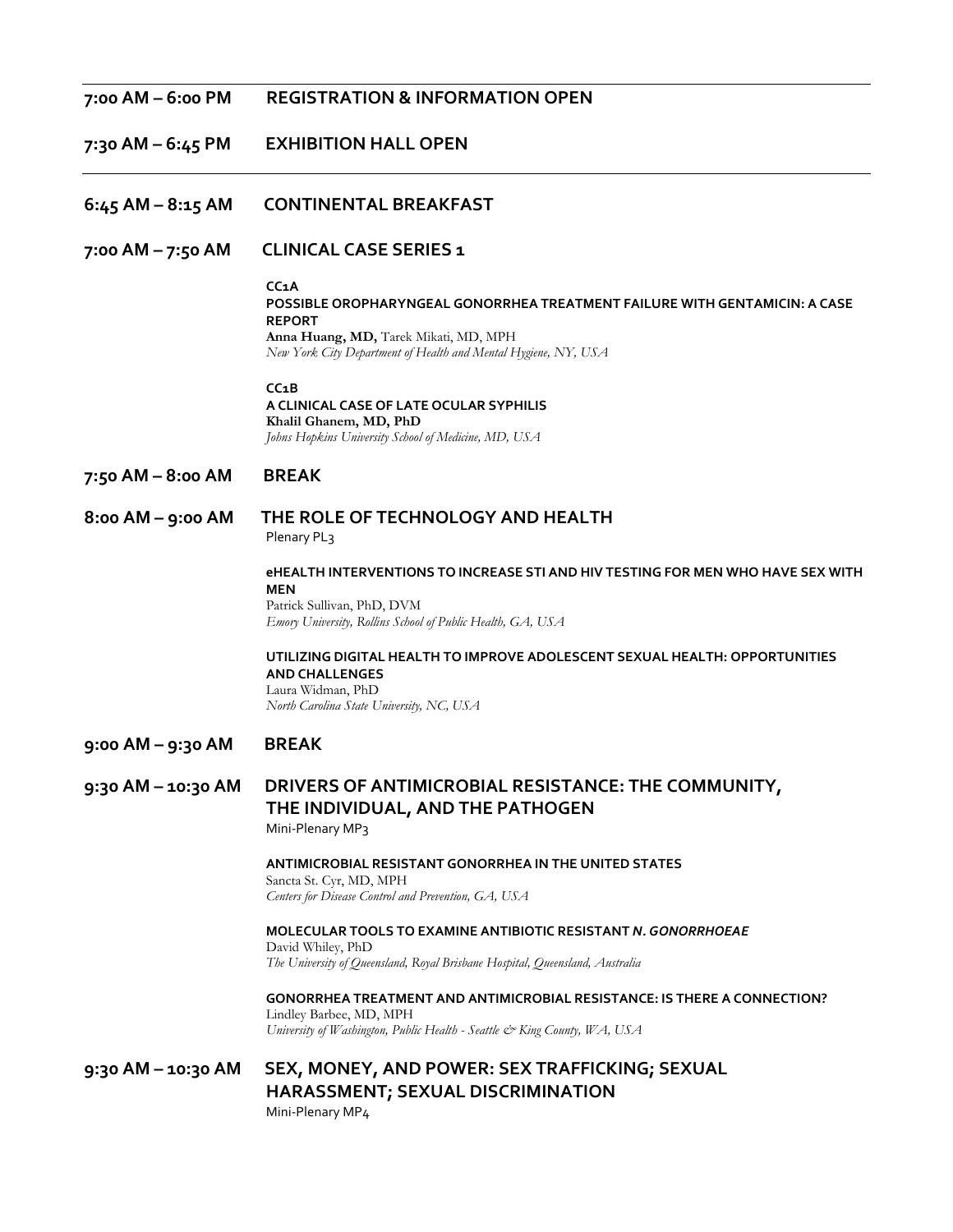#### **7:00 AM – 6:00 PM REGISTRATION & INFORMATION OPEN**

**7:30 AM – 6:45 PM EXHIBITION HALL OPEN**

- **6:45 AM – 8:15 AM CONTINENTAL BREAKFAST**
- **7:00 AM – 7:50 AM CLINICAL CASE SERIES 1**

#### **CC1A**

**POSSIBLE OROPHARYNGEAL GONORRHEA TREATMENT FAILURE WITH GENTAMICIN: A CASE REPORT Anna Huang, MD,** Tarek Mikati, MD, MPH *New York City Department of Health and Mental Hygiene, NY, USA*

**CC1B A CLINICAL CASE OF LATE OCULAR SYPHILIS Khalil Ghanem, MD, PhD** *Johns Hopkins University School of Medicine, MD, USA*

- **7:50 AM – 8:00 AM BREAK**
- **8:00 AM – 9:00 AM THE ROLE OF TECHNOLOGY AND HEALTH** Plenary PL<sub>3</sub>

**eHEALTH INTERVENTIONS TO INCREASE STI AND HIV TESTING FOR MEN WHO HAVE SEX WITH MEN**  Patrick Sullivan, PhD, DVM *Emory University, Rollins School of Public Health, GA, USA*

**UTILIZING DIGITAL HEALTH TO IMPROVE ADOLESCENT SEXUAL HEALTH: OPPORTUNITIES AND CHALLENGES** Laura Widman, PhD *North Carolina State University, NC, USA*

- **9:00 AM – 9:30 AM BREAK**
- **9:30 AM – 10:30 AM DRIVERS OF ANTIMICROBIAL RESISTANCE: THE COMMUNITY, THE INDIVIDUAL, AND THE PATHOGEN**  Mini-Plenary MP3

**ANTIMICROBIAL RESISTANT GONORRHEA IN THE UNITED STATES**  Sancta St. Cyr, MD, MPH *Centers for Disease Control and Prevention, GA, USA*

**MOLECULAR TOOLS TO EXAMINE ANTIBIOTIC RESISTANT** *N. GONORRHOEAE* David Whiley, PhD *The University of Queensland, Royal Brisbane Hospital, Queensland, Australia*

**GONORRHEA TREATMENT AND ANTIMICROBIAL RESISTANCE: IS THERE A CONNECTION?** Lindley Barbee, MD, MPH *University of Washington, Public Health - Seattle & King County, WA, USA*

**9:30 AM – 10:30 AM SEX, MONEY, AND POWER: SEX TRAFFICKING; SEXUAL HARASSMENT; SEXUAL DISCRIMINATION**  Mini-Plenary MP4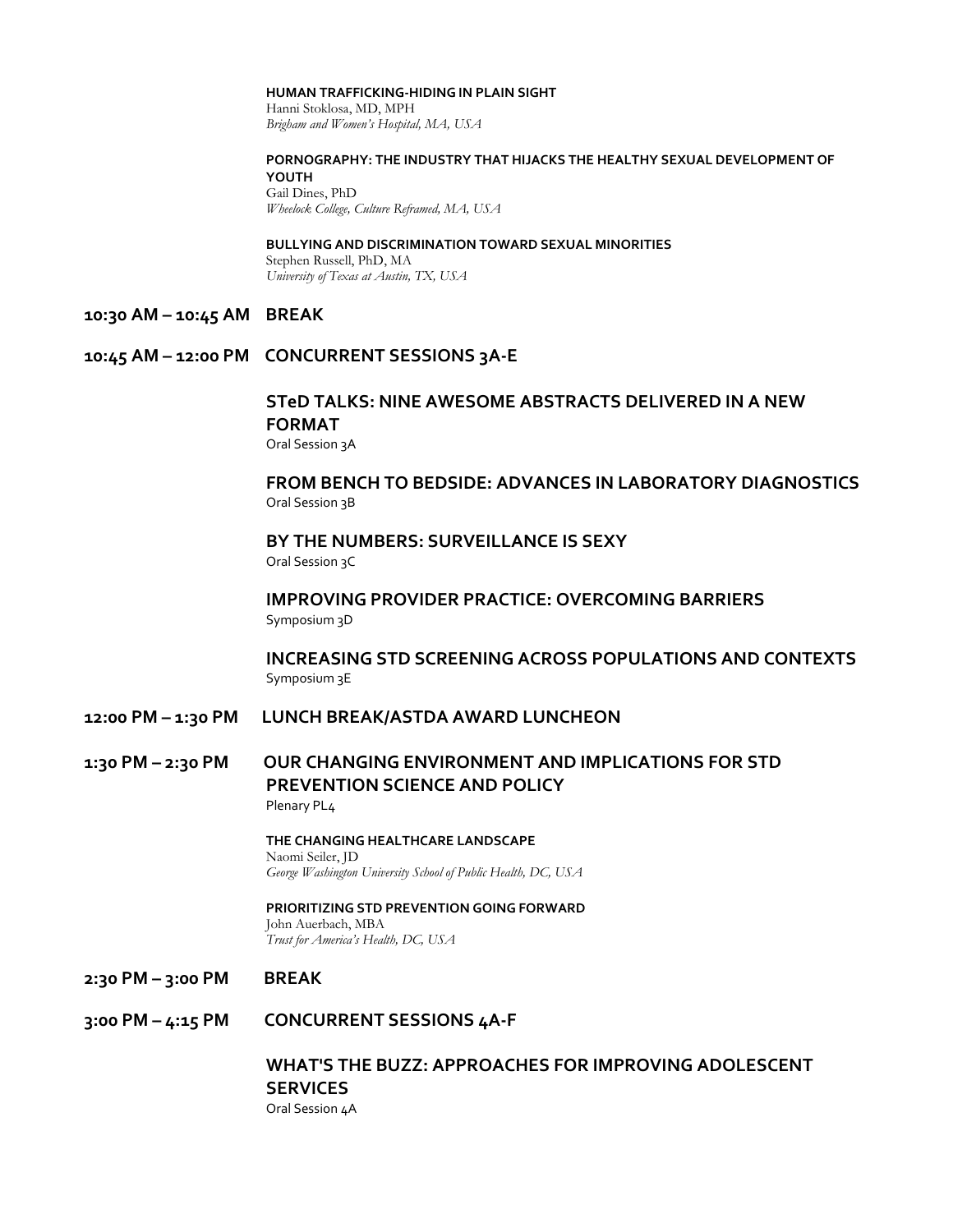#### **HUMAN TRAFFICKING-HIDING IN PLAIN SIGHT**

Hanni Stoklosa, MD, MPH *Brigham and Women's Hospital, MA, USA*

#### **PORNOGRAPHY: THE INDUSTRY THAT HIJACKS THE HEALTHY SEXUAL DEVELOPMENT OF YOUTH** Gail Dines, PhD

*Wheelock College, Culture Reframed, MA, USA*

#### **BULLYING AND DISCRIMINATION TOWARD SEXUAL MINORITIES** Stephen Russell, PhD, MA *University of Texas at Austin, TX, USA*

#### **10:30 AM – 10:45 AM BREAK**

## **10:45 AM – 12:00 PM CONCURRENT SESSIONS 3A-E**

## **STeD TALKS: NINE AWESOME ABSTRACTS DELIVERED IN A NEW FORMAT** Oral Session 3A

## **FROM BENCH TO BEDSIDE: ADVANCES IN LABORATORY DIAGNOSTICS** Oral Session 3B

# **BY THE NUMBERS: SURVEILLANCE IS SEXY**

Oral Session 3C

#### **IMPROVING PROVIDER PRACTICE: OVERCOMING BARRIERS** Symposium 3D

**INCREASING STD SCREENING ACROSS POPULATIONS AND CONTEXTS** Symposium 3E

## **12:00 PM – 1:30 PM LUNCH BREAK/ASTDA AWARD LUNCHEON**

## **1:30 PM – 2:30 PM OUR CHANGING ENVIRONMENT AND IMPLICATIONS FOR STD PREVENTION SCIENCE AND POLICY** Plenary PL4

**THE CHANGING HEALTHCARE LANDSCAPE** Naomi Seiler, JD *George Washington University School of Public Health, DC, USA*

#### **PRIORITIZING STD PREVENTION GOING FORWARD** John Auerbach, MBA *Trust for America's Health, DC, USA*

- **2:30 PM – 3:00 PM BREAK**
- **3:00 PM – 4:15 PM CONCURRENT SESSIONS 4A-F**

## **WHAT'S THE BUZZ: APPROACHES FOR IMPROVING ADOLESCENT SERVICES** Oral Session 4A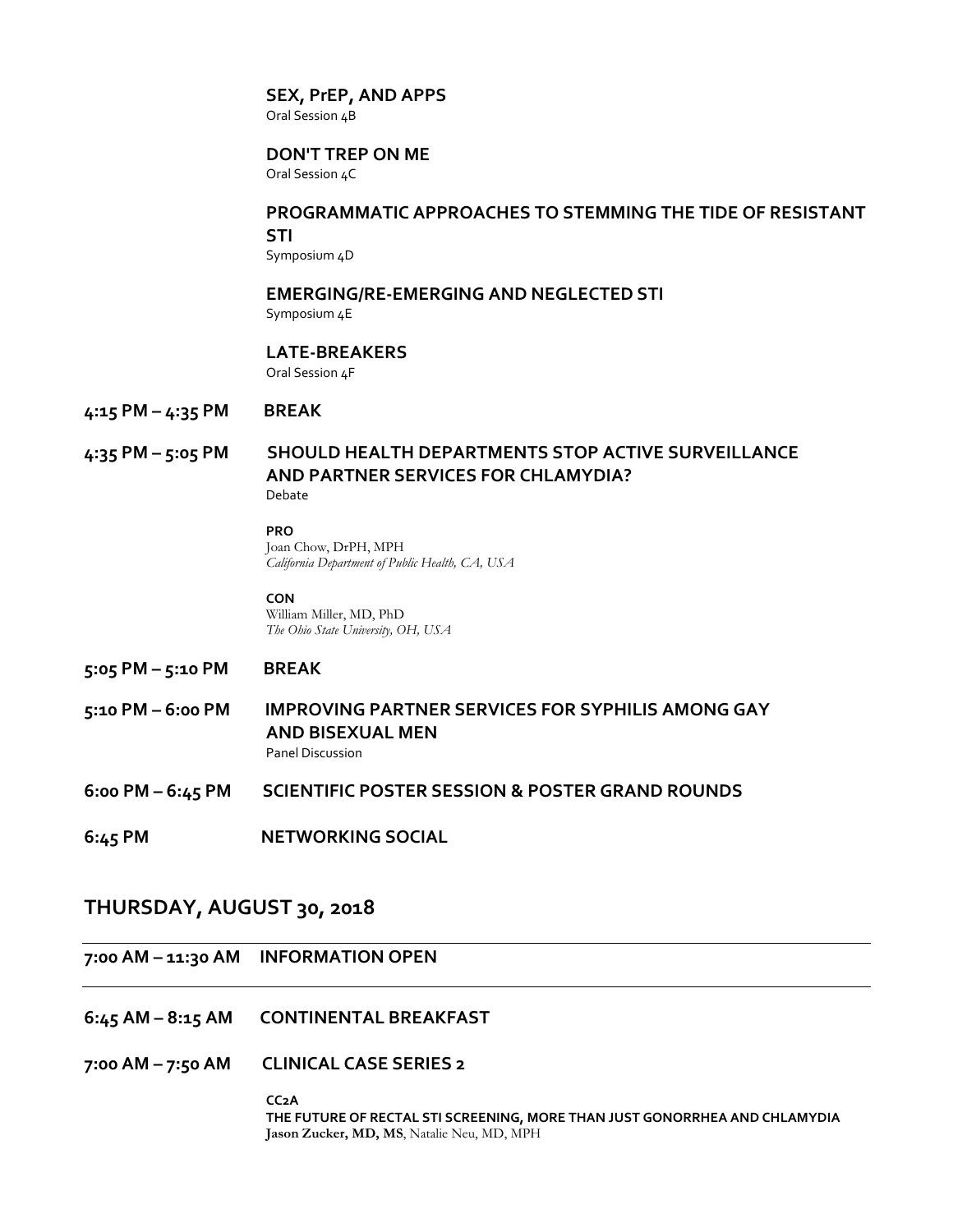#### **SEX, PrEP, AND APPS**

Oral Session <sub>4</sub>B

# **DON'T TREP ON ME**

Oral Session 4C

#### **PROGRAMMATIC APPROACHES TO STEMMING THE TIDE OF RESISTANT STI**

Symposium 4D

## **EMERGING/RE-EMERGING AND NEGLECTED STI**

Symposium 4E

#### **LATE-BREAKERS**

Oral Session 4F

#### **4:15 PM – 4:35 PM BREAK**

#### **4:35 PM – 5:05 PM SHOULD HEALTH DEPARTMENTS STOP ACTIVE SURVEILLANCE AND PARTNER SERVICES FOR CHLAMYDIA?** Debate

#### **PRO**

Joan Chow, DrPH, MPH *California Department of Public Health, CA, USA* 

**CON** William Miller, MD, PhD *The Ohio State University, OH, USA* 

## **5:05 PM – 5:10 PM BREAK**

- **5:10 PM – 6:00 PM IMPROVING PARTNER SERVICES FOR SYPHILIS AMONG GAY AND BISEXUAL MEN** Panel Discussion
- **6:00 PM – 6:45 PM SCIENTIFIC POSTER SESSION & POSTER GRAND ROUNDS**
- **6:45 PM NETWORKING SOCIAL**

# **THURSDAY, AUGUST 30, 2018**

## **7:00 AM – 11:30 AM INFORMATION OPEN**

- **6:45 AM – 8:15 AM CONTINENTAL BREAKFAST**
- **7:00 AM – 7:50 AM CLINICAL CASE SERIES 2**

**CC2A THE FUTURE OF RECTAL STI SCREENING, MORE THAN JUST GONORRHEA AND CHLAMYDIA Jason Zucker, MD, MS**, Natalie Neu, MD, MPH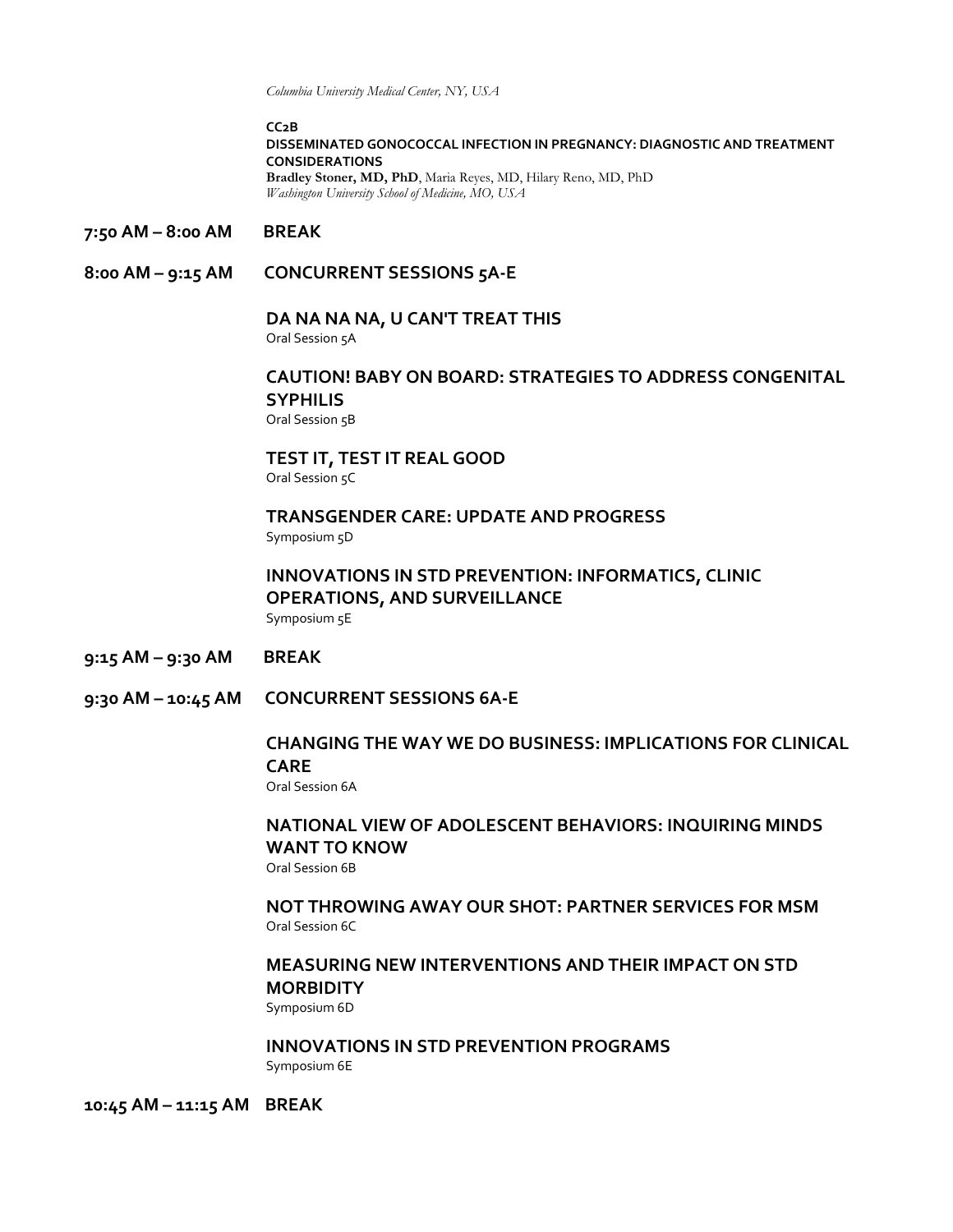*Columbia University Medical Center, NY, USA*

**CC2B**

## **DISSEMINATED GONOCOCCAL INFECTION IN PREGNANCY: DIAGNOSTIC AND TREATMENT CONSIDERATIONS**

**Bradley Stoner, MD, PhD**, Maria Reyes, MD, Hilary Reno, MD, PhD *Washington University School of Medicine, MO, USA*

- **7:50 AM – 8:00 AM BREAK**
- **8:00 AM – 9:15 AM CONCURRENT SESSIONS 5A-E**

#### **DA NA NA NA, U CAN'T TREAT THIS**

Oral Session 5A

# **CAUTION! BABY ON BOARD: STRATEGIES TO ADDRESS CONGENITAL SYPHILIS**

Oral Session 5B

**TEST IT, TEST IT REAL GOOD** Oral Session 5C

# **TRANSGENDER CARE: UPDATE AND PROGRESS**

Symposium 5D

# **INNOVATIONS IN STD PREVENTION: INFORMATICS, CLINIC OPERATIONS, AND SURVEILLANCE**

Symposium 5E

- **9:15 AM – 9:30 AM BREAK**
- **9:30 AM – 10:45 AM CONCURRENT SESSIONS 6A-E**

## **CHANGING THE WAY WE DO BUSINESS: IMPLICATIONS FOR CLINICAL CARE**

Oral Session 6A

# **NATIONAL VIEW OF ADOLESCENT BEHAVIORS: INQUIRING MINDS WANT TO KNOW**

Oral Session 6B

**NOT THROWING AWAY OUR SHOT: PARTNER SERVICES FOR MSM** Oral Session 6C

# **MEASURING NEW INTERVENTIONS AND THEIR IMPACT ON STD MORBIDITY**

Symposium 6D

**INNOVATIONS IN STD PREVENTION PROGRAMS**  Symposium 6E

**10:45 AM – 11:15 AM BREAK**